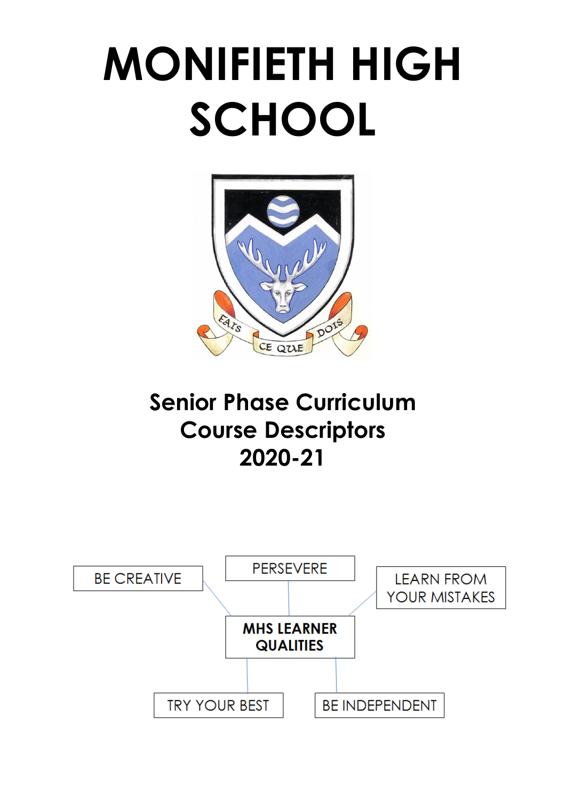# **MONIFIETH HIGH SCHOOL**



# **Senior Phase Curriculum Course Descriptors 2020-21**

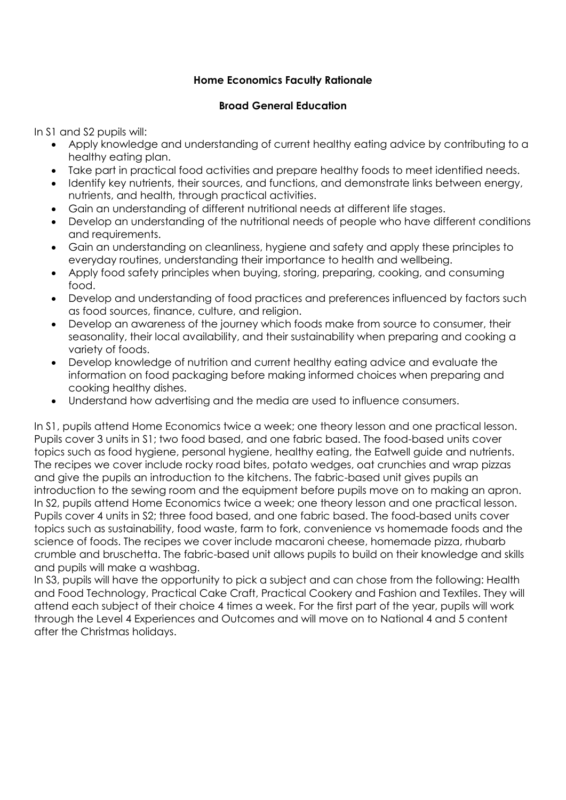# **Home Economics Faculty Rationale**

# **Broad General Education**

In S1 and S2 pupils will:

- Apply knowledge and understanding of current healthy eating advice by contributing to a healthy eating plan.
- Take part in practical food activities and prepare healthy foods to meet identified needs.
- Identify key nutrients, their sources, and functions, and demonstrate links between energy, nutrients, and health, through practical activities.
- Gain an understanding of different nutritional needs at different life stages.
- Develop an understanding of the nutritional needs of people who have different conditions and requirements.
- Gain an understanding on cleanliness, hygiene and safety and apply these principles to everyday routines, understanding their importance to health and wellbeing.
- Apply food safety principles when buying, storing, preparing, cooking, and consuming food.
- Develop and understanding of food practices and preferences influenced by factors such as food sources, finance, culture, and religion.
- Develop an awareness of the journey which foods make from source to consumer, their seasonality, their local availability, and their sustainability when preparing and cooking a variety of foods.
- Develop knowledge of nutrition and current healthy eating advice and evaluate the information on food packaging before making informed choices when preparing and cooking healthy dishes.
- Understand how advertising and the media are used to influence consumers.

In S1, pupils attend Home Economics twice a week; one theory lesson and one practical lesson. Pupils cover 3 units in S1; two food based, and one fabric based. The food-based units cover topics such as food hygiene, personal hygiene, healthy eating, the Eatwell guide and nutrients. The recipes we cover include rocky road bites, potato wedges, oat crunchies and wrap pizzas and give the pupils an introduction to the kitchens. The fabric-based unit gives pupils an introduction to the sewing room and the equipment before pupils move on to making an apron. In S2, pupils attend Home Economics twice a week; one theory lesson and one practical lesson. Pupils cover 4 units in S2; three food based, and one fabric based. The food-based units cover topics such as sustainability, food waste, farm to fork, convenience vs homemade foods and the science of foods. The recipes we cover include macaroni cheese, homemade pizza, rhubarb crumble and bruschetta. The fabric-based unit allows pupils to build on their knowledge and skills and pupils will make a washbag.

In S3, pupils will have the opportunity to pick a subject and can chose from the following: Health and Food Technology, Practical Cake Craft, Practical Cookery and Fashion and Textiles. They will attend each subject of their choice 4 times a week. For the first part of the year, pupils will work through the Level 4 Experiences and Outcomes and will move on to National 4 and 5 content after the Christmas holidays.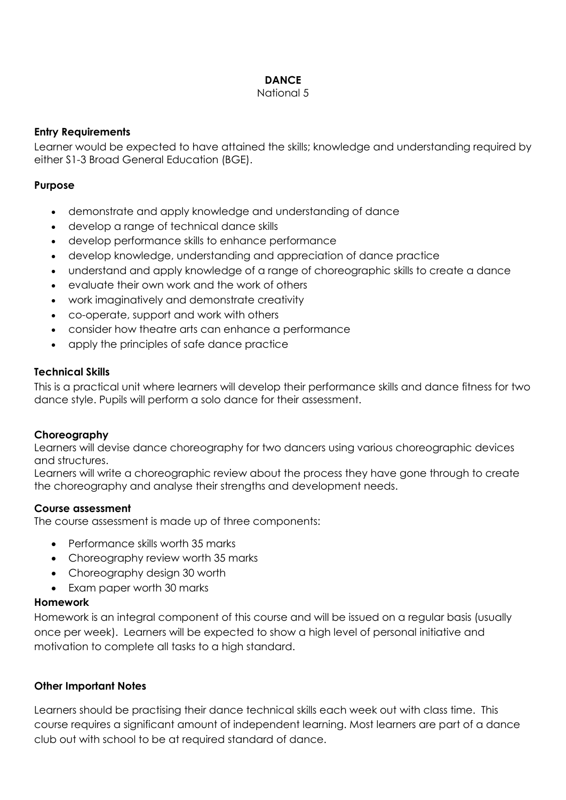# **DANCE**

#### National 5

# **Entry Requirements**

Learner would be expected to have attained the skills; knowledge and understanding required by either S1-3 Broad General Education (BGE).

# **Purpose**

- demonstrate and apply knowledge and understanding of dance
- develop a range of technical dance skills
- develop performance skills to enhance performance
- develop knowledge, understanding and appreciation of dance practice
- understand and apply knowledge of a range of choreographic skills to create a dance
- evaluate their own work and the work of others
- work imaginatively and demonstrate creativity
- co-operate, support and work with others
- consider how theatre arts can enhance a performance
- apply the principles of safe dance practice

# **Technical Skills**

This is a practical unit where learners will develop their performance skills and dance fitness for two dance style. Pupils will perform a solo dance for their assessment.

# **Choreography**

Learners will devise dance choreography for two dancers using various choreographic devices and structures.

Learners will write a choreographic review about the process they have gone through to create the choreography and analyse their strengths and development needs.

# **Course assessment**

The course assessment is made up of three components:

- Performance skills worth 35 marks
- Choreography review worth 35 marks
- Choreography design 30 worth
- Exam paper worth 30 marks

# **Homework**

Homework is an integral component of this course and will be issued on a regular basis (usually once per week). Learners will be expected to show a high level of personal initiative and motivation to complete all tasks to a high standard.

# **Other Important Notes**

Learners should be practising their dance technical skills each week out with class time. This course requires a significant amount of independent learning. Most learners are part of a dance club out with school to be at required standard of dance.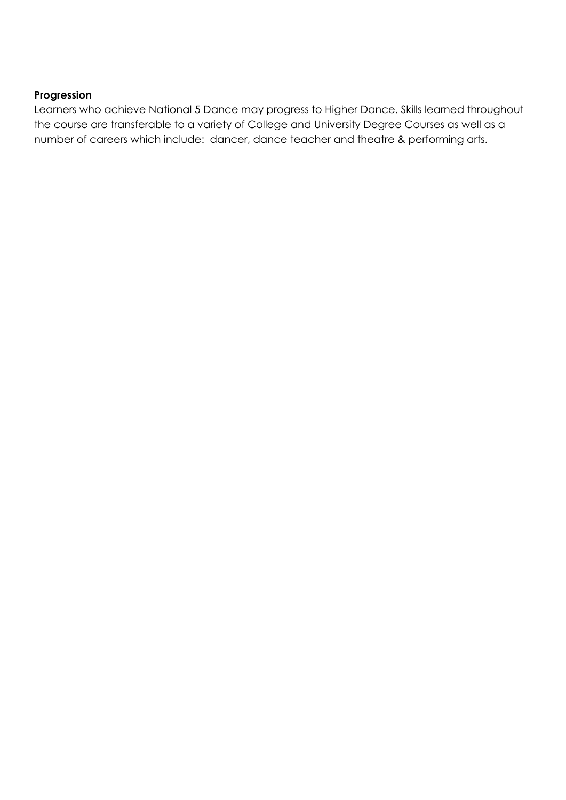# **Progression**

Learners who achieve National 5 Dance may progress to Higher Dance. Skills learned throughout the course are transferable to a variety of College and University Degree Courses as well as a number of careers which include: dancer, dance teacher and theatre & performing arts.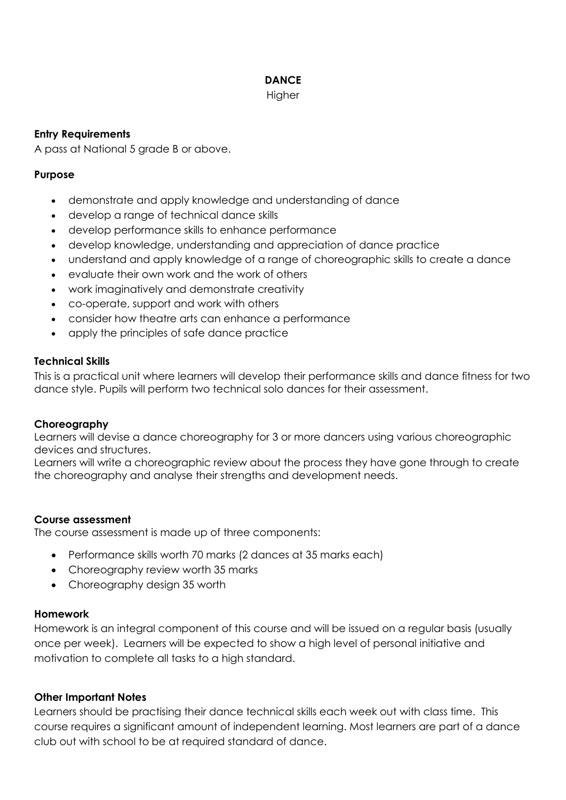# **DANCE**

#### **Higher**

# **Entry Requirements**

A pass at National 5 grade B or above.

# **Purpose**

- demonstrate and apply knowledge and understanding of dance
- develop a range of technical dance skills
- develop performance skills to enhance performance
- develop knowledge, understanding and appreciation of dance practice
- understand and apply knowledge of a range of choreographic skills to create a dance
- evaluate their own work and the work of others
- work imaginatively and demonstrate creativity
- co-operate, support and work with others
- consider how theatre arts can enhance a performance
- apply the principles of safe dance practice

# **Technical Skills**

This is a practical unit where learners will develop their performance skills and dance fitness for two dance style. Pupils will perform two technical solo dances for their assessment.

# **Choreography**

Learners will devise a dance choreography for 3 or more dancers using various choreographic devices and structures.

Learners will write a choreographic review about the process they have gone through to create the choreography and analyse their strengths and development needs.

# **Course assessment**

The course assessment is made up of three components:

- Performance skills worth 70 marks (2 dances at 35 marks each)
- Choreography review worth 35 marks
- Choreography design 35 worth

# **Homework**

Homework is an integral component of this course and will be issued on a regular basis (usually once per week). Learners will be expected to show a high level of personal initiative and motivation to complete all tasks to a high standard.

# **Other Important Notes**

Learners should be practising their dance technical skills each week out with class time. This course requires a significant amount of independent learning. Most learners are part of a dance club out with school to be at required standard of dance.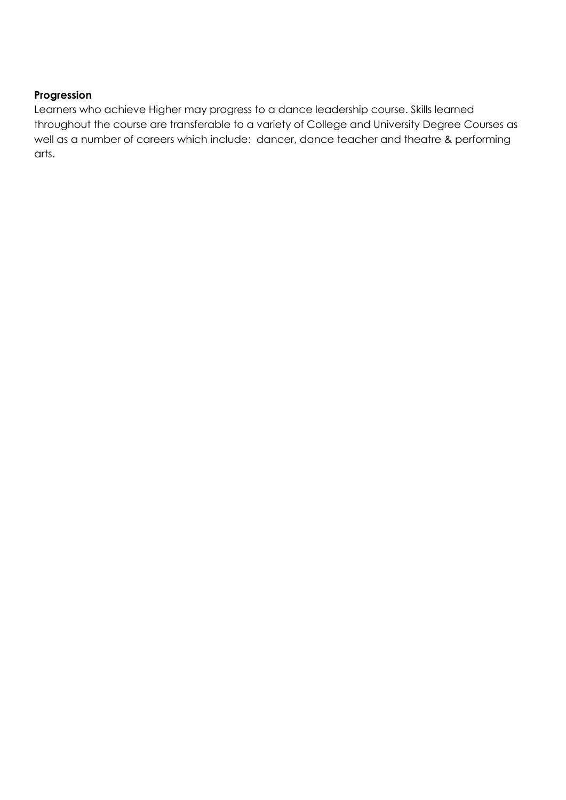# **Progression**

Learners who achieve Higher may progress to a dance leadership course. Skills learned throughout the course are transferable to a variety of College and University Degree Courses as well as a number of careers which include: dancer, dance teacher and theatre & performing arts.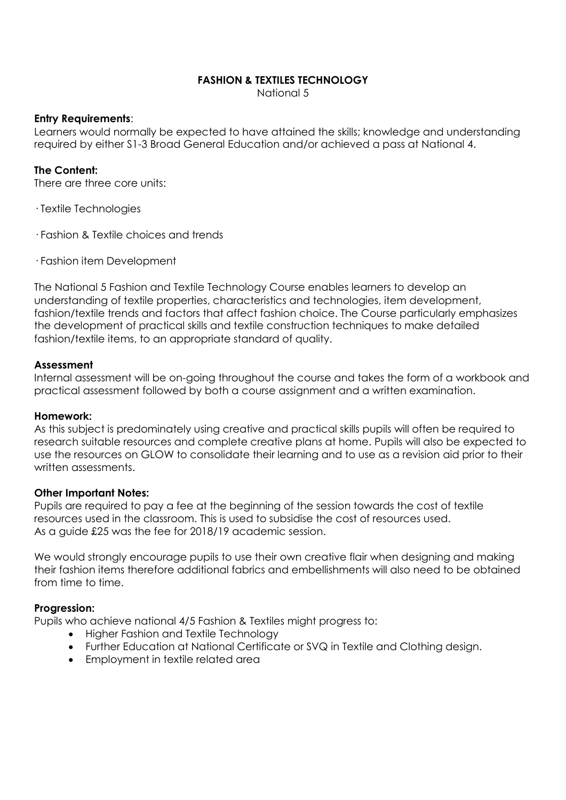# **FASHION & TEXTILES TECHNOLOGY**

National 5

#### **Entry Requirements**:

Learners would normally be expected to have attained the skills; knowledge and understanding required by either S1-3 Broad General Education and/or achieved a pass at National 4.

#### **The Content:**

There are three core units:

· Textile Technologies

- · Fashion & Textile choices and trends
- · Fashion item Development

The National 5 Fashion and Textile Technology Course enables learners to develop an understanding of textile properties, characteristics and technologies, item development, fashion/textile trends and factors that affect fashion choice. The Course particularly emphasizes the development of practical skills and textile construction techniques to make detailed fashion/textile items, to an appropriate standard of quality.

#### **Assessment**

Internal assessment will be on-going throughout the course and takes the form of a workbook and practical assessment followed by both a course assignment and a written examination.

#### **Homework:**

As this subject is predominately using creative and practical skills pupils will often be required to research suitable resources and complete creative plans at home. Pupils will also be expected to use the resources on GLOW to consolidate their learning and to use as a revision aid prior to their written assessments.

#### **Other Important Notes:**

Pupils are required to pay a fee at the beginning of the session towards the cost of textile resources used in the classroom. This is used to subsidise the cost of resources used. As a guide £25 was the fee for 2018/19 academic session.

We would strongly encourage pupils to use their own creative flair when designing and making their fashion items therefore additional fabrics and embellishments will also need to be obtained from time to time.

#### **Progression:**

Pupils who achieve national 4/5 Fashion & Textiles might progress to:

- Higher Fashion and Textile Technology
- Further Education at National Certificate or SVQ in Textile and Clothing design.
- Employment in textile related area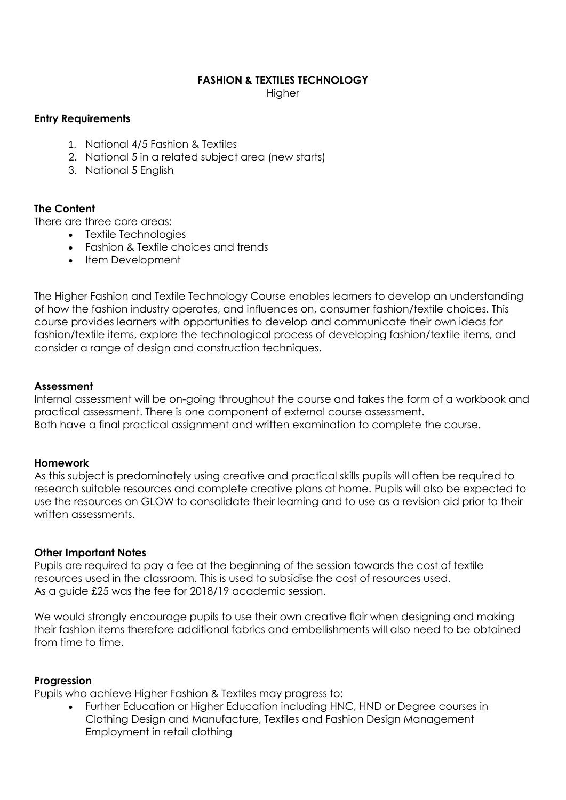#### **FASHION & TEXTILES TECHNOLOGY**

**Higher** 

#### **Entry Requirements**

- 1. National 4/5 Fashion & Textiles
- 2. National 5 in a related subject area (new starts)
- 3. National 5 English

# **The Content**

There are three core areas:

- Textile Technologies
- Fashion & Textile choices and trends
- Item Development

The Higher Fashion and Textile Technology Course enables learners to develop an understanding of how the fashion industry operates, and influences on, consumer fashion/textile choices. This course provides learners with opportunities to develop and communicate their own ideas for fashion/textile items, explore the technological process of developing fashion/textile items, and consider a range of design and construction techniques.

#### **Assessment**

Internal assessment will be on-going throughout the course and takes the form of a workbook and practical assessment. There is one component of external course assessment. Both have a final practical assignment and written examination to complete the course.

#### **Homework**

As this subject is predominately using creative and practical skills pupils will often be required to research suitable resources and complete creative plans at home. Pupils will also be expected to use the resources on GLOW to consolidate their learning and to use as a revision aid prior to their written assessments.

#### **Other Important Notes**

Pupils are required to pay a fee at the beginning of the session towards the cost of textile resources used in the classroom. This is used to subsidise the cost of resources used. As a guide £25 was the fee for 2018/19 academic session.

We would strongly encourage pupils to use their own creative flair when designing and making their fashion items therefore additional fabrics and embellishments will also need to be obtained from time to time.

#### **Progression**

Pupils who achieve Higher Fashion & Textiles may progress to:

 Further Education or Higher Education including HNC, HND or Degree courses in Clothing Design and Manufacture, Textiles and Fashion Design Management Employment in retail clothing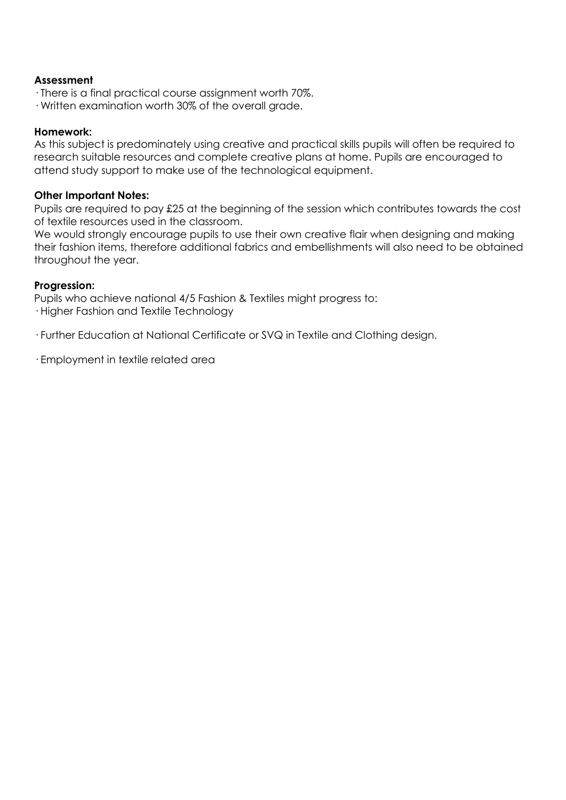#### **Assessment**

- · There is a final practical course assignment worth 70%.
- · Written examination worth 30% of the overall grade.

#### **Homework:**

As this subject is predominately using creative and practical skills pupils will often be required to research suitable resources and complete creative plans at home. Pupils are encouraged to attend study support to make use of the technological equipment.

#### **Other Important Notes:**

Pupils are required to pay £25 at the beginning of the session which contributes towards the cost of textile resources used in the classroom.

We would strongly encourage pupils to use their own creative flair when designing and making their fashion items, therefore additional fabrics and embellishments will also need to be obtained throughout the year.

#### **Progression:**

Pupils who achieve national 4/5 Fashion & Textiles might progress to: · Higher Fashion and Textile Technology

· Further Education at National Certificate or SVQ in Textile and Clothing design.

· Employment in textile related area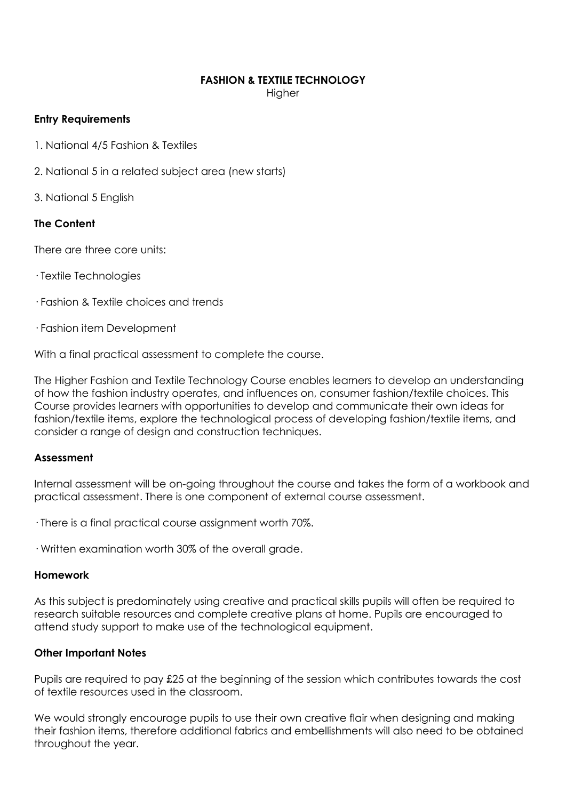#### **FASHION & TEXTILE TECHNOLOGY**

**Higher** 

#### **Entry Requirements**

1. National 4/5 Fashion & Textiles

2. National 5 in a related subject area (new starts)

3. National 5 English

# **The Content**

There are three core units:

· Textile Technologies

· Fashion & Textile choices and trends

· Fashion item Development

With a final practical assessment to complete the course.

The Higher Fashion and Textile Technology Course enables learners to develop an understanding of how the fashion industry operates, and influences on, consumer fashion/textile choices. This Course provides learners with opportunities to develop and communicate their own ideas for fashion/textile items, explore the technological process of developing fashion/textile items, and consider a range of design and construction techniques.

# **Assessment**

Internal assessment will be on-going throughout the course and takes the form of a workbook and practical assessment. There is one component of external course assessment.

· There is a final practical course assignment worth 70%.

· Written examination worth 30% of the overall grade.

#### **Homework**

As this subject is predominately using creative and practical skills pupils will often be required to research suitable resources and complete creative plans at home. Pupils are encouraged to attend study support to make use of the technological equipment.

# **Other Important Notes**

Pupils are required to pay £25 at the beginning of the session which contributes towards the cost of textile resources used in the classroom.

We would strongly encourage pupils to use their own creative flair when designing and making their fashion items, therefore additional fabrics and embellishments will also need to be obtained throughout the year.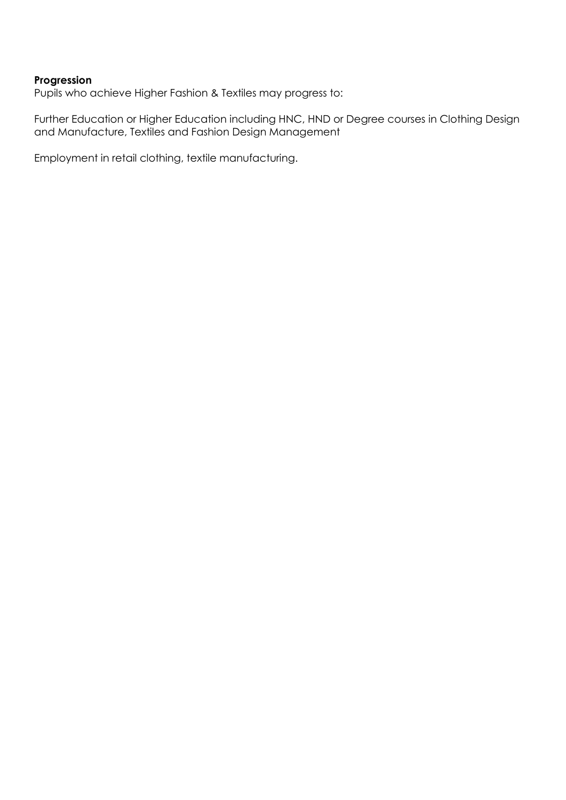#### **Progression**

Pupils who achieve Higher Fashion & Textiles may progress to:

Further Education or Higher Education including HNC, HND or Degree courses in Clothing Design and Manufacture, Textiles and Fashion Design Management

Employment in retail clothing, textile manufacturing.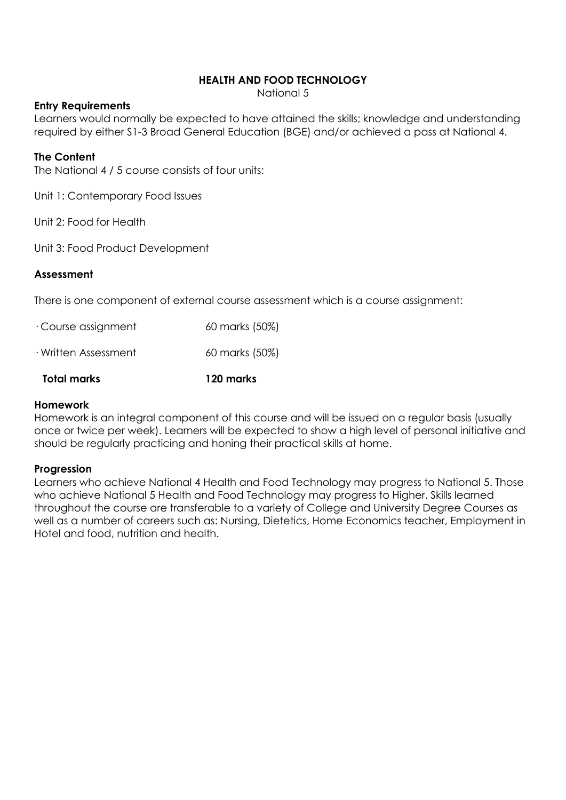# **HEALTH AND FOOD TECHNOLOGY**

National 5

#### **Entry Requirements**

Learners would normally be expected to have attained the skills; knowledge and understanding required by either S1-3 Broad General Education (BGE) and/or achieved a pass at National 4.

#### **The Content**

The National 4 / 5 course consists of four units:

Unit 1: Contemporary Food Issues

Unit 2: Food for Health

Unit 3: Food Product Development

#### **Assessment**

There is one component of external course assessment which is a course assignment:

| Total marks                | 120 marks      |
|----------------------------|----------------|
| $\cdot$ Written Assessment | 60 marks (50%) |
| $\cdot$ Course assignment  | 60 marks (50%) |

#### **Homework**

Homework is an integral component of this course and will be issued on a regular basis (usually once or twice per week). Learners will be expected to show a high level of personal initiative and should be regularly practicing and honing their practical skills at home.

#### **Progression**

Learners who achieve National 4 Health and Food Technology may progress to National 5. Those who achieve National 5 Health and Food Technology may progress to Higher. Skills learned throughout the course are transferable to a variety of College and University Degree Courses as well as a number of careers such as: Nursing, Dietetics, Home Economics teacher, Employment in Hotel and food, nutrition and health.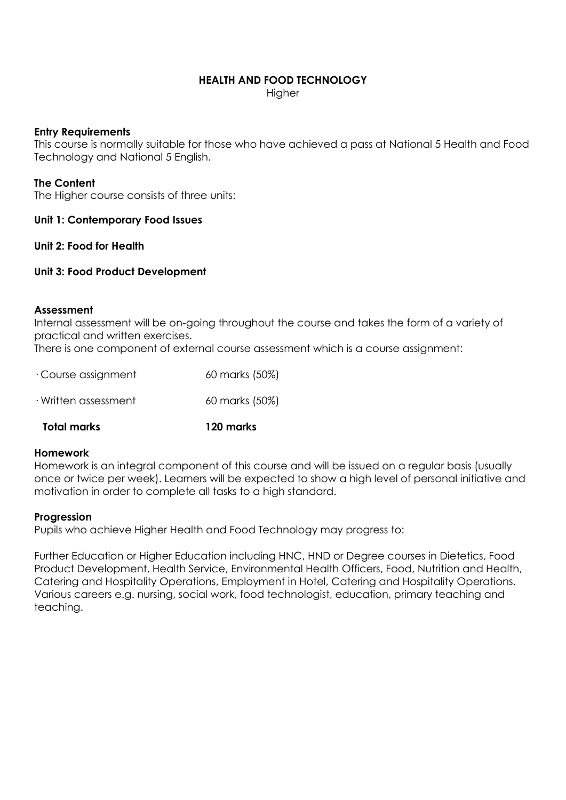#### **HEALTH AND FOOD TECHNOLOGY**

**Higher** 

#### **Entry Requirements**

This course is normally suitable for those who have achieved a pass at National 5 Health and Food Technology and National 5 English.

#### **The Content**

The Higher course consists of three units:

#### **Unit 1: Contemporary Food Issues**

#### **Unit 2: Food for Health**

#### **Unit 3: Food Product Development**

#### **Assessment**

Internal assessment will be on-going throughout the course and takes the form of a variety of practical and written exercises.

There is one component of external course assessment which is a course assignment:

| Total marks                | 120 marks      |
|----------------------------|----------------|
| $\cdot$ Written assessment | 60 marks (50%) |
| $\cdot$ Course assignment  | 60 marks (50%) |

# **Homework**

Homework is an integral component of this course and will be issued on a regular basis (usually once or twice per week). Learners will be expected to show a high level of personal initiative and motivation in order to complete all tasks to a high standard.

#### **Progression**

Pupils who achieve Higher Health and Food Technology may progress to:

Further Education or Higher Education including HNC, HND or Degree courses in Dietetics, Food Product Development, Health Service, Environmental Health Officers, Food, Nutrition and Health, Catering and Hospitality Operations, Employment in Hotel, Catering and Hospitality Operations. Various careers e.g. nursing, social work, food technologist, education, primary teaching and teaching.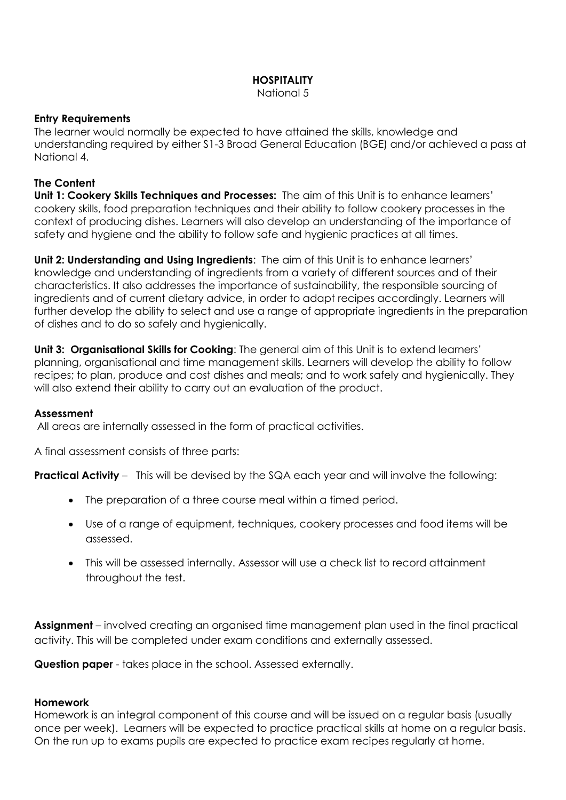# **HOSPITALITY**

National 5

#### **Entry Requirements**

The learner would normally be expected to have attained the skills, knowledge and understanding required by either S1-3 Broad General Education (BGE) and/or achieved a pass at National 4.

# **The Content**

**Unit 1: Cookery Skills Techniques and Processes:** The aim of this Unit is to enhance learners' cookery skills, food preparation techniques and their ability to follow cookery processes in the context of producing dishes. Learners will also develop an understanding of the importance of safety and hygiene and the ability to follow safe and hygienic practices at all times.

**Unit 2: Understanding and Using Ingredients:** The aim of this Unit is to enhance learners' knowledge and understanding of ingredients from a variety of different sources and of their characteristics. It also addresses the importance of sustainability, the responsible sourcing of ingredients and of current dietary advice, in order to adapt recipes accordingly. Learners will further develop the ability to select and use a range of appropriate ingredients in the preparation of dishes and to do so safely and hygienically.

**Unit 3: Organisational Skills for Cooking:** The general aim of this Unit is to extend learners' planning, organisational and time management skills. Learners will develop the ability to follow recipes; to plan, produce and cost dishes and meals; and to work safely and hygienically. They will also extend their ability to carry out an evaluation of the product.

# **Assessment**

All areas are internally assessed in the form of practical activities.

A final assessment consists of three parts:

**Practical Activity** – This will be devised by the SQA each year and will involve the following:

- The preparation of a three course meal within a timed period.
- Use of a range of equipment, techniques, cookery processes and food items will be assessed.
- This will be assessed internally. Assessor will use a check list to record attainment throughout the test.

**Assignment** – involved creating an organised time management plan used in the final practical activity. This will be completed under exam conditions and externally assessed.

**Question paper** - takes place in the school. Assessed externally.

#### **Homework**

Homework is an integral component of this course and will be issued on a regular basis (usually once per week). Learners will be expected to practice practical skills at home on a regular basis. On the run up to exams pupils are expected to practice exam recipes regularly at home.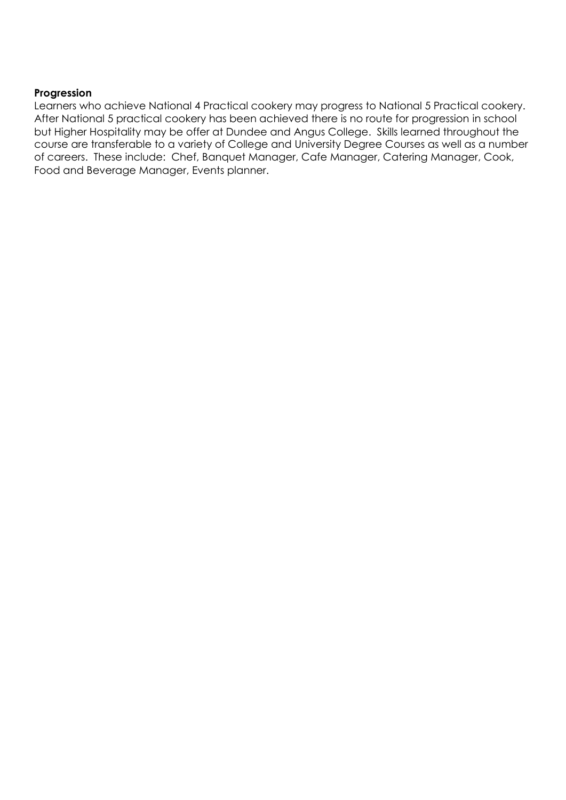#### **Progression**

Learners who achieve National 4 Practical cookery may progress to National 5 Practical cookery. After National 5 practical cookery has been achieved there is no route for progression in school but Higher Hospitality may be offer at Dundee and Angus College. Skills learned throughout the course are transferable to a variety of College and University Degree Courses as well as a number of careers. These include: Chef, Banquet Manager, Cafe Manager, Catering Manager, Cook, Food and Beverage Manager, Events planner.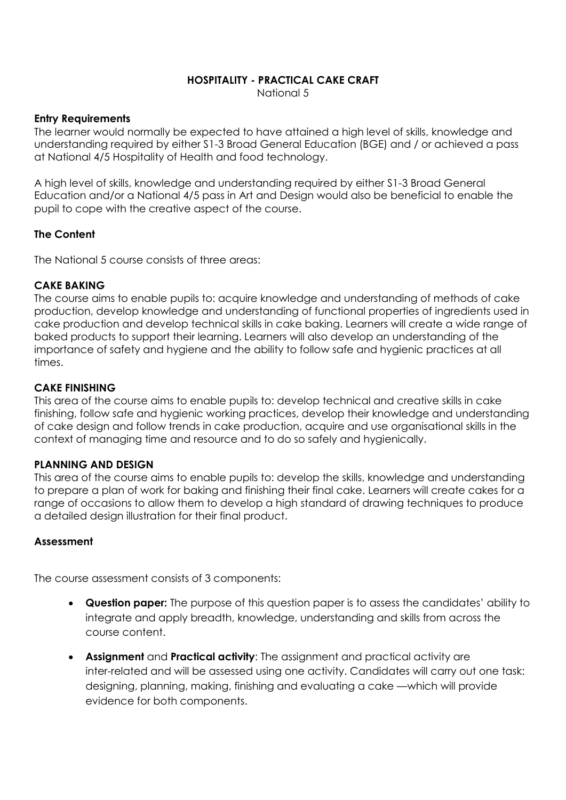# **HOSPITALITY - PRACTICAL CAKE CRAFT**

National 5

#### **Entry Requirements**

The learner would normally be expected to have attained a high level of skills, knowledge and understanding required by either S1-3 Broad General Education (BGE) and / or achieved a pass at National 4/5 Hospitality of Health and food technology.

A high level of skills, knowledge and understanding required by either S1-3 Broad General Education and/or a National 4/5 pass in Art and Design would also be beneficial to enable the pupil to cope with the creative aspect of the course.

# **The Content**

The National 5 course consists of three areas:

# **CAKE BAKING**

The course aims to enable pupils to: acquire knowledge and understanding of methods of cake production, develop knowledge and understanding of functional properties of ingredients used in cake production and develop technical skills in cake baking. Learners will create a wide range of baked products to support their learning. Learners will also develop an understanding of the importance of safety and hygiene and the ability to follow safe and hygienic practices at all times.

# **CAKE FINISHING**

This area of the course aims to enable pupils to: develop technical and creative skills in cake finishing, follow safe and hygienic working practices, develop their knowledge and understanding of cake design and follow trends in cake production, acquire and use organisational skills in the context of managing time and resource and to do so safely and hygienically.

# **PLANNING AND DESIGN**

This area of the course aims to enable pupils to: develop the skills, knowledge and understanding to prepare a plan of work for baking and finishing their final cake. Learners will create cakes for a range of occasions to allow them to develop a high standard of drawing techniques to produce a detailed design illustration for their final product.

# **Assessment**

The course assessment consists of 3 components:

- **Question paper:** The purpose of this question paper is to assess the candidates' ability to integrate and apply breadth, knowledge, understanding and skills from across the course content.
- **Assignment** and **Practical activity**: The assignment and practical activity are inter-related and will be assessed using one activity. Candidates will carry out one task: designing, planning, making, finishing and evaluating a cake —which will provide evidence for both components.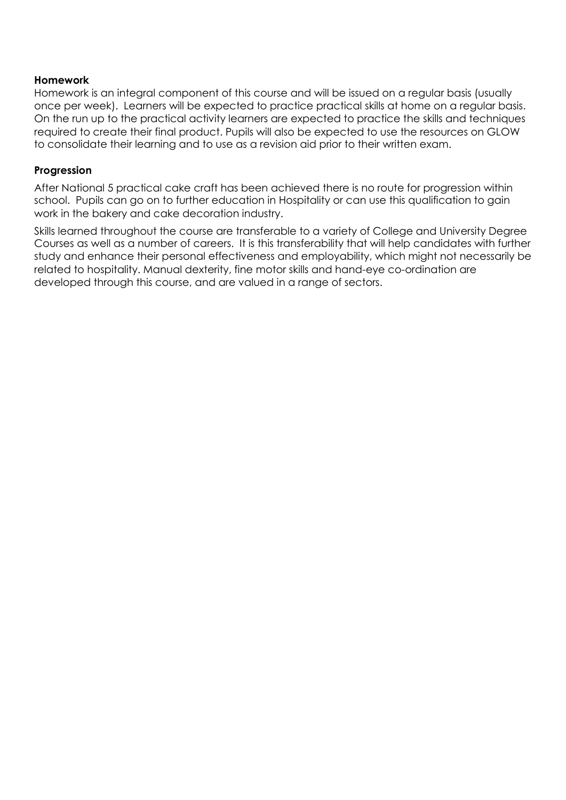#### **Homework**

Homework is an integral component of this course and will be issued on a regular basis (usually once per week). Learners will be expected to practice practical skills at home on a regular basis. On the run up to the practical activity learners are expected to practice the skills and techniques required to create their final product. Pupils will also be expected to use the resources on GLOW to consolidate their learning and to use as a revision aid prior to their written exam.

#### **Progression**

After National 5 practical cake craft has been achieved there is no route for progression within school. Pupils can go on to further education in Hospitality or can use this qualification to gain work in the bakery and cake decoration industry.

Skills learned throughout the course are transferable to a variety of College and University Degree Courses as well as a number of careers. It is this transferability that will help candidates with further study and enhance their personal effectiveness and employability, which might not necessarily be related to hospitality. Manual dexterity, fine motor skills and hand-eye co-ordination are developed through this course, and are valued in a range of sectors.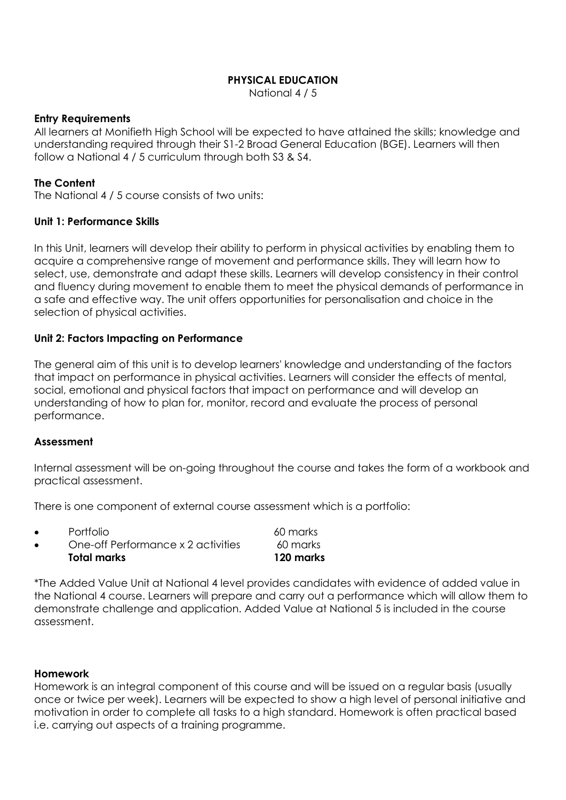# **PHYSICAL EDUCATION**

National 4 / 5

#### **Entry Requirements**

All learners at Monifieth High School will be expected to have attained the skills; knowledge and understanding required through their S1-2 Broad General Education (BGE). Learners will then follow a National 4 / 5 curriculum through both S3 & S4.

# **The Content**

The National 4 / 5 course consists of two units:

#### **Unit 1: Performance Skills**

In this Unit, learners will develop their ability to perform in physical activities by enabling them to acquire a comprehensive range of movement and performance skills. They will learn how to select, use, demonstrate and adapt these skills. Learners will develop consistency in their control and fluency during movement to enable them to meet the physical demands of performance in a safe and effective way. The unit offers opportunities for personalisation and choice in the selection of physical activities.

#### **Unit 2: Factors Impacting on Performance**

The general aim of this unit is to develop learners' knowledge and understanding of the factors that impact on performance in physical activities. Learners will consider the effects of mental, social, emotional and physical factors that impact on performance and will develop an understanding of how to plan for, monitor, record and evaluate the process of personal performance.

# **Assessment**

Internal assessment will be on-going throughout the course and takes the form of a workbook and practical assessment.

There is one component of external course assessment which is a portfolio:

|           | Total marks                        | 120 marks |
|-----------|------------------------------------|-----------|
| $\bullet$ | One-off Performance x 2 activities | 60 marks  |
| $\bullet$ | Portfolio                          | 60 marks  |

\*The Added Value Unit at National 4 level provides candidates with evidence of added value in the National 4 course. Learners will prepare and carry out a performance which will allow them to demonstrate challenge and application. Added Value at National 5 is included in the course assessment.

#### **Homework**

Homework is an integral component of this course and will be issued on a regular basis (usually once or twice per week). Learners will be expected to show a high level of personal initiative and motivation in order to complete all tasks to a high standard. Homework is often practical based i.e. carrying out aspects of a training programme.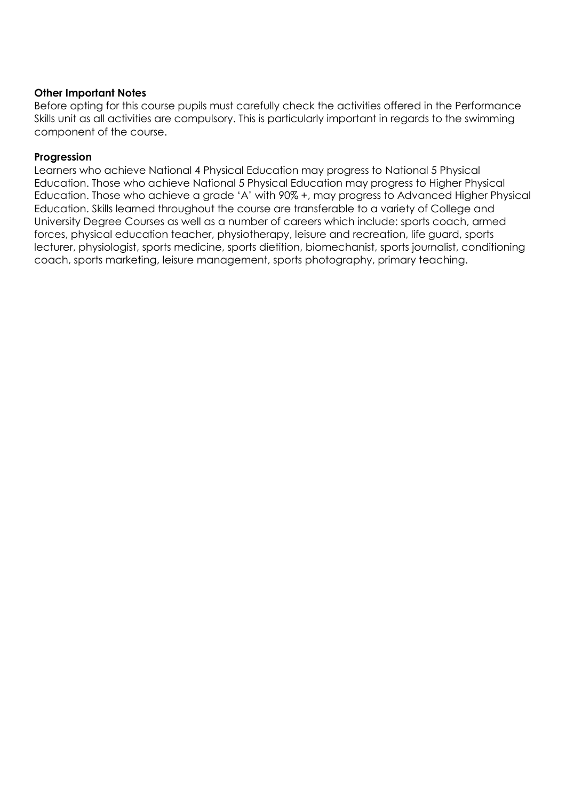#### **Other Important Notes**

Before opting for this course pupils must carefully check the activities offered in the Performance Skills unit as all activities are compulsory. This is particularly important in regards to the swimming component of the course.

#### **Progression**

Learners who achieve National 4 Physical Education may progress to National 5 Physical Education. Those who achieve National 5 Physical Education may progress to Higher Physical Education. Those who achieve a grade 'A' with 90% +, may progress to Advanced Higher Physical Education. Skills learned throughout the course are transferable to a variety of College and University Degree Courses as well as a number of careers which include: sports coach, armed forces, physical education teacher, physiotherapy, leisure and recreation, life guard, sports lecturer, physiologist, sports medicine, sports dietition, biomechanist, sports journalist, conditioning coach, sports marketing, leisure management, sports photography, primary teaching.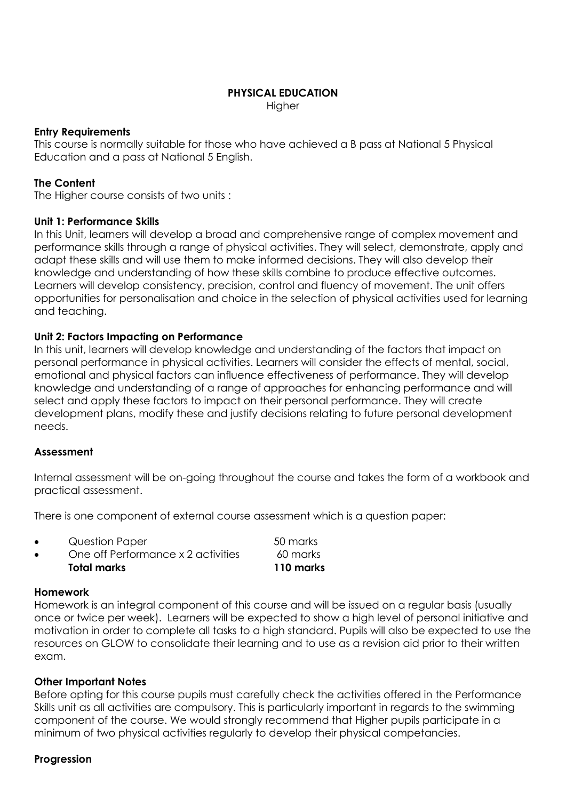# **PHYSICAL EDUCATION**

**Higher** 

#### **Entry Requirements**

This course is normally suitable for those who have achieved a B pass at National 5 Physical Education and a pass at National 5 English.

#### **The Content**

The Higher course consists of two units :

#### **Unit 1: Performance Skills**

In this Unit, learners will develop a broad and comprehensive range of complex movement and performance skills through a range of physical activities. They will select, demonstrate, apply and adapt these skills and will use them to make informed decisions. They will also develop their knowledge and understanding of how these skills combine to produce effective outcomes. Learners will develop consistency, precision, control and fluency of movement. The unit offers opportunities for personalisation and choice in the selection of physical activities used for learning and teaching.

#### **Unit 2: Factors Impacting on Performance**

In this unit, learners will develop knowledge and understanding of the factors that impact on personal performance in physical activities. Learners will consider the effects of mental, social, emotional and physical factors can influence effectiveness of performance. They will develop knowledge and understanding of a range of approaches for enhancing performance and will select and apply these factors to impact on their personal performance. They will create development plans, modify these and justify decisions relating to future personal development needs.

#### **Assessment**

Internal assessment will be on-going throughout the course and takes the form of a workbook and practical assessment.

There is one component of external course assessment which is a question paper:

- Question Paper 50 marks
	- One off Performance x 2 activities 60 marks **Total marks 110 marks**

#### **Homework**

Homework is an integral component of this course and will be issued on a regular basis (usually once or twice per week). Learners will be expected to show a high level of personal initiative and motivation in order to complete all tasks to a high standard. Pupils will also be expected to use the resources on GLOW to consolidate their learning and to use as a revision aid prior to their written exam.

#### **Other Important Notes**

Before opting for this course pupils must carefully check the activities offered in the Performance Skills unit as all activities are compulsory. This is particularly important in regards to the swimming component of the course. We would strongly recommend that Higher pupils participate in a minimum of two physical activities regularly to develop their physical competancies.

#### **Progression**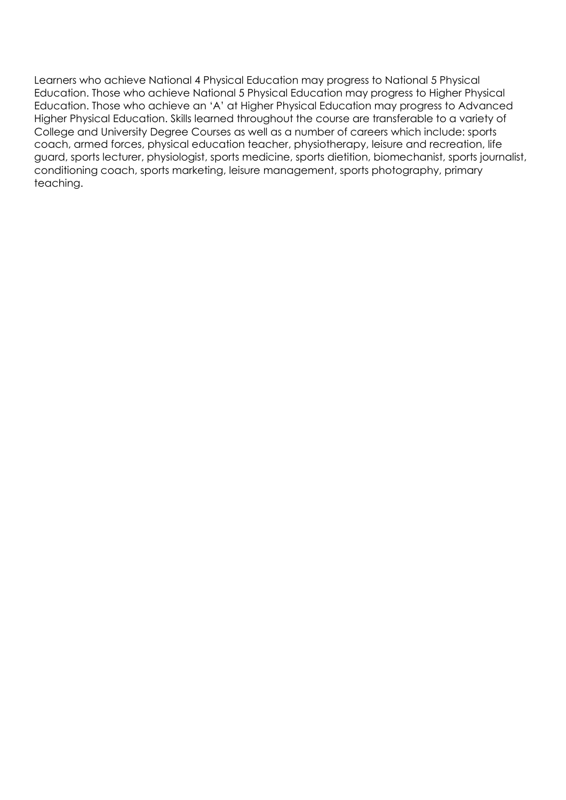Learners who achieve National 4 Physical Education may progress to National 5 Physical Education. Those who achieve National 5 Physical Education may progress to Higher Physical Education. Those who achieve an 'A' at Higher Physical Education may progress to Advanced Higher Physical Education. Skills learned throughout the course are transferable to a variety of College and University Degree Courses as well as a number of careers which include: sports coach, armed forces, physical education teacher, physiotherapy, leisure and recreation, life guard, sports lecturer, physiologist, sports medicine, sports dietition, biomechanist, sports journalist, conditioning coach, sports marketing, leisure management, sports photography, primary teaching.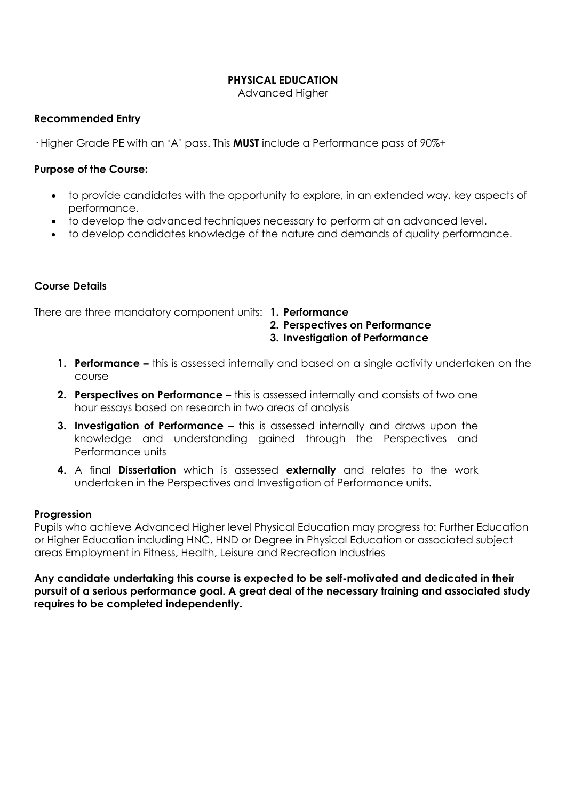# **PHYSICAL EDUCATION**

Advanced Higher

#### **Recommended Entry**

· Higher Grade PE with an 'A' pass. This **MUST** include a Performance pass of 90%+

#### **Purpose of the Course:**

- to provide candidates with the opportunity to explore, in an extended way, key aspects of performance.
- to develop the advanced techniques necessary to perform at an advanced level.
- to develop candidates knowledge of the nature and demands of quality performance.

#### **Course Details**

There are three mandatory component units: **1. Performance**

- **2. Perspectives on Performance**
- **3. Investigation of Performance**
- **1. Performance –** this is assessed internally and based on a single activity undertaken on the course
- **2. Perspectives on Performance –** this is assessed internally and consists of two one hour essays based on research in two areas of analysis
- **3. Investigation of Performance –** this is assessed internally and draws upon the knowledge and understanding gained through the Perspectives and Performance units
- **4.** A final **Dissertation** which is assessed **externally** and relates to the work undertaken in the Perspectives and Investigation of Performance units.

#### **Progression**

Pupils who achieve Advanced Higher level Physical Education may progress to: Further Education or Higher Education including HNC, HND or Degree in Physical Education or associated subject areas Employment in Fitness, Health, Leisure and Recreation Industries

**Any candidate undertaking this course is expected to be self-motivated and dedicated in their pursuit of a serious performance goal. A great deal of the necessary training and associated study requires to be completed independently.**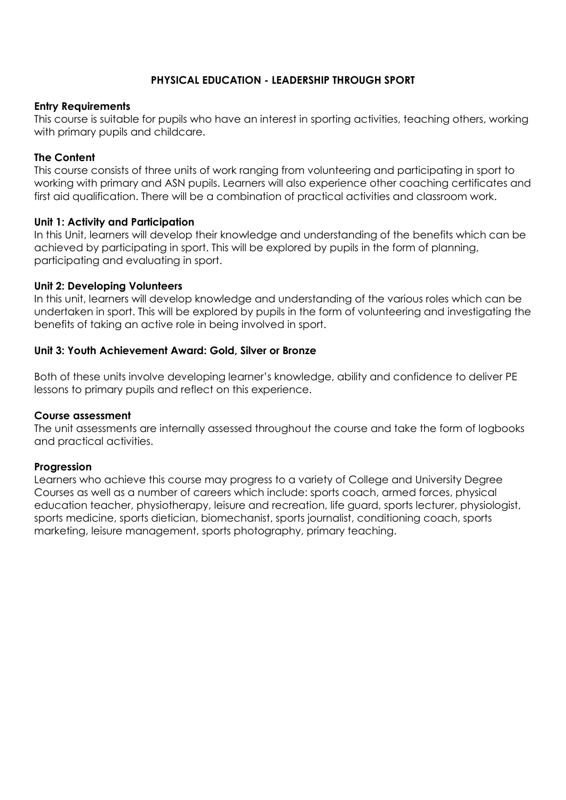# **PHYSICAL EDUCATION - LEADERSHIP THROUGH SPORT**

#### **Entry Requirements**

This course is suitable for pupils who have an interest in sporting activities, teaching others, working with primary pupils and childcare.

#### **The Content**

This course consists of three units of work ranging from volunteering and participating in sport to working with primary and ASN pupils. Learners will also experience other coaching certificates and first aid qualification. There will be a combination of practical activities and classroom work.

#### **Unit 1: Activity and Participation**

In this Unit, learners will develop their knowledge and understanding of the benefits which can be achieved by participating in sport. This will be explored by pupils in the form of planning, participating and evaluating in sport.

#### **Unit 2: Developing Volunteers**

In this unit, learners will develop knowledge and understanding of the various roles which can be undertaken in sport. This will be explored by pupils in the form of volunteering and investigating the benefits of taking an active role in being involved in sport.

#### **Unit 3: Youth Achievement Award: Gold, Silver or Bronze**

Both of these units involve developing learner's knowledge, ability and confidence to deliver PE lessons to primary pupils and reflect on this experience.

#### **Course assessment**

The unit assessments are internally assessed throughout the course and take the form of logbooks and practical activities.

# **Progression**

Learners who achieve this course may progress to a variety of College and University Degree Courses as well as a number of careers which include: sports coach, armed forces, physical education teacher, physiotherapy, leisure and recreation, life guard, sports lecturer, physiologist, sports medicine, sports dietician, biomechanist, sports journalist, conditioning coach, sports marketing, leisure management, sports photography, primary teaching.